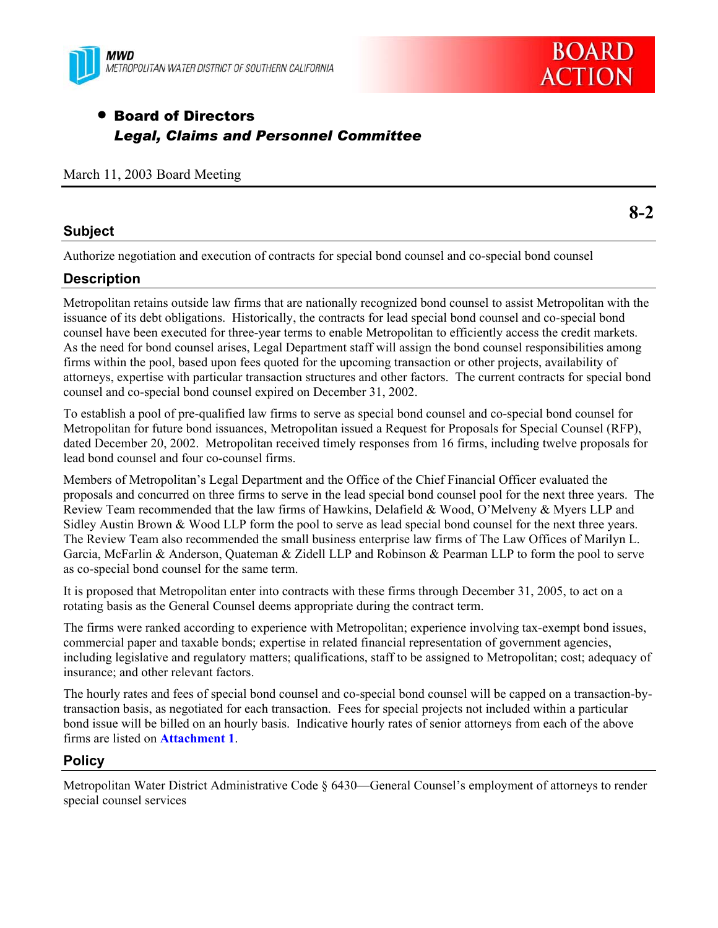



# **• Board of Directors** *Legal, Claims and Personnel Committee*

|  |  |  |  | March 11, 2003 Board Meeting |
|--|--|--|--|------------------------------|
|--|--|--|--|------------------------------|

### **Subject**

Authorize negotiation and execution of contracts for special bond counsel and co-special bond counsel

### **Description**

Metropolitan retains outside law firms that are nationally recognized bond counsel to assist Metropolitan with the issuance of its debt obligations. Historically, the contracts for lead special bond counsel and co-special bond counsel have been executed for three-year terms to enable Metropolitan to efficiently access the credit markets. As the need for bond counsel arises, Legal Department staff will assign the bond counsel responsibilities among firms within the pool, based upon fees quoted for the upcoming transaction or other projects, availability of attorneys, expertise with particular transaction structures and other factors. The current contracts for special bond counsel and co-special bond counsel expired on December 31, 2002.

To establish a pool of pre-qualified law firms to serve as special bond counsel and co-special bond counsel for Metropolitan for future bond issuances, Metropolitan issued a Request for Proposals for Special Counsel (RFP), dated December 20, 2002. Metropolitan received timely responses from 16 firms, including twelve proposals for lead bond counsel and four co-counsel firms.

Members of Metropolitan's Legal Department and the Office of the Chief Financial Officer evaluated the proposals and concurred on three firms to serve in the lead special bond counsel pool for the next three years. The Review Team recommended that the law firms of Hawkins, Delafield & Wood, O'Melveny & Myers LLP and Sidley Austin Brown & Wood LLP form the pool to serve as lead special bond counsel for the next three years. The Review Team also recommended the small business enterprise law firms of The Law Offices of Marilyn L. Garcia, McFarlin & Anderson, Quateman & Zidell LLP and Robinson & Pearman LLP to form the pool to serve as co-special bond counsel for the same term.

It is proposed that Metropolitan enter into contracts with these firms through December 31, 2005, to act on a rotating basis as the General Counsel deems appropriate during the contract term.

The firms were ranked according to experience with Metropolitan; experience involving tax-exempt bond issues, commercial paper and taxable bonds; expertise in related financial representation of government agencies, including legislative and regulatory matters; qualifications, staff to be assigned to Metropolitan; cost; adequacy of insurance; and other relevant factors.

The hourly rates and fees of special bond counsel and co-special bond counsel will be capped on a transaction-bytransaction basis, as negotiated for each transaction. Fees for special projects not included within a particular bond issue will be billed on an hourly basis. Indicative hourly rates of senior attorneys from each of the above firms are listed on **Attachment 1**.

### **Policy**

Metropolitan Water District Administrative Code § 6430—General Counsel's employment of attorneys to render special counsel services

**8-2**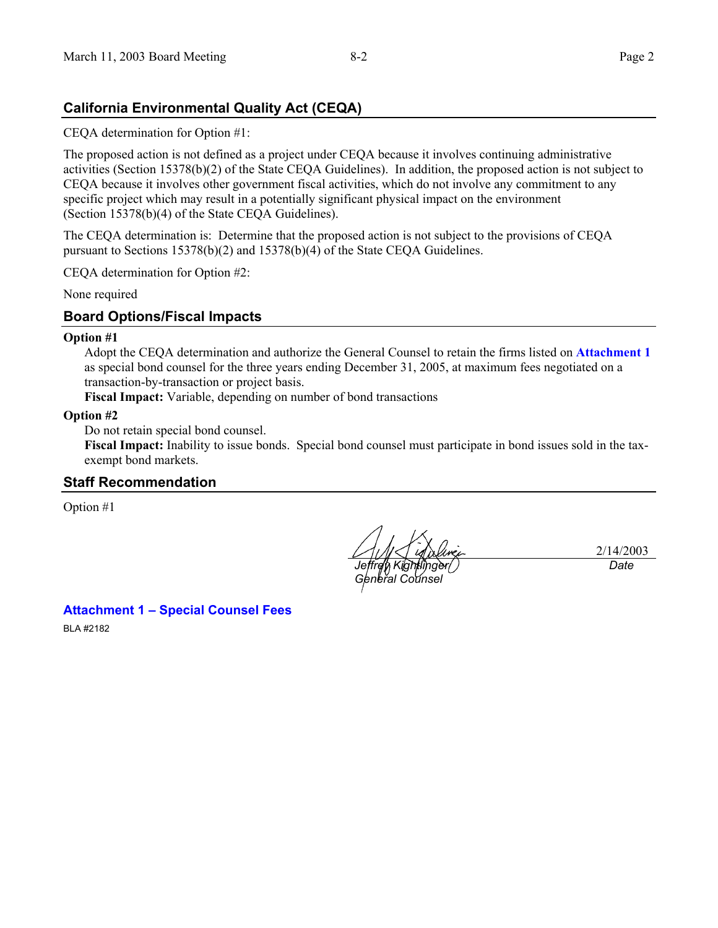# **California Environmental Quality Act (CEQA)**

CEQA determination for Option #1:

The proposed action is not defined as a project under CEQA because it involves continuing administrative activities (Section 15378(b)(2) of the State CEQA Guidelines). In addition, the proposed action is not subject to CEQA because it involves other government fiscal activities, which do not involve any commitment to any specific project which may result in a potentially significant physical impact on the environment (Section 15378(b)(4) of the State CEQA Guidelines).

The CEQA determination is: Determine that the proposed action is not subject to the provisions of CEQA pursuant to Sections 15378(b)(2) and 15378(b)(4) of the State CEQA Guidelines.

CEQA determination for Option #2:

None required

#### **Board Options/Fiscal Impacts**

#### **Option #1**

Adopt the CEQA determination and authorize the General Counsel to retain the firms listed on **Attachment 1** as special bond counsel for the three years ending December 31, 2005, at maximum fees negotiated on a transaction-by-transaction or project basis.

**Fiscal Impact:** Variable, depending on number of bond transactions

#### **Option #2**

Do not retain special bond counsel.

**Fiscal Impact:** Inability to issue bonds. Special bond counsel must participate in bond issues sold in the taxexempt bond markets.

#### **Staff Recommendation**

Option #1

*Jeffrey Kightlinger*/ *General Counsel* 

2/14/2003 *Date*

**Attachment 1 – Special Counsel Fees** 

BLA #2182